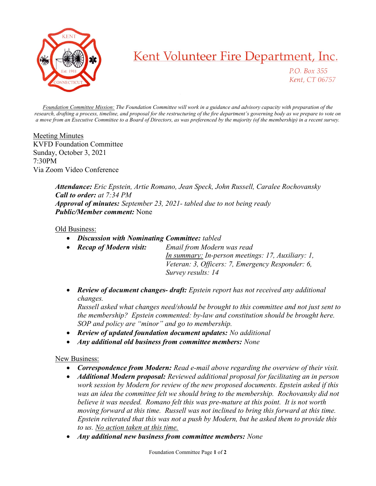

## Kent Volunteer Fire Department, Inc.

P.O. Box 355 Kent, CT 06757

Foundation Committee Mission: The Foundation Committee will work in a guidance and advisory capacity with preparation of the research, drafting a process, timeline, and proposal for the restructuring of the fire department's governing body as we prepare to vote on a move from an Executive Committee to a Board of Directors, as was preferenced by the majority (of the membership) in a recent survey.

Meeting Minutes KVFD Foundation Committee Sunday, October 3, 2021 7:30PM Via Zoom Video Conference

> Attendance: Eric Epstein, Artie Romano, Jean Speck, John Russell, Caralee Rochovansky Call to order: at 7:34 PM Approval of minutes: September 23, 2021- tabled due to not being ready Public/Member comment: None

## Old Business:

- Discussion with Nominating Committee: tabled
- Recap of Modern visit: Email from Modern was read In summary: In-person meetings: 17, Auxiliary: 1, Veteran: 3, Officers: 7, Emergency Responder: 6, Survey results: 14
- **Review of document changes- draft:** Epstein report has not received any additional changes.

Russell asked what changes need/should be brought to this committee and not just sent to the membership? Epstein commented: by-law and constitution should be brought here. SOP and policy are "minor" and go to membership.

- Review of updated foundation document updates: No additional
- Any additional old business from committee members: None

## New Business:

- Correspondence from Modern: Read e-mail above regarding the overview of their visit.
- Additional Modern proposal: Reviewed additional proposal for facilitating an in person work session by Modern for review of the new proposed documents. Epstein asked if this was an idea the committee felt we should bring to the membership. Rochovansky did not believe it was needed. Romano felt this was pre-mature at this point. It is not worth moving forward at this time. Russell was not inclined to bring this forward at this time. Epstein reiterated that this was not a push by Modern, but he asked them to provide this to us. No action taken at this time.
- Any additional new business from committee members: None